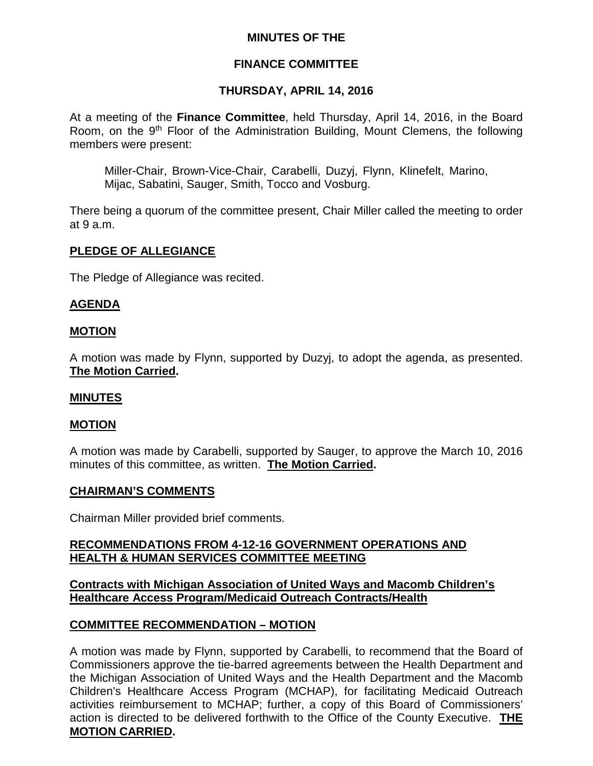## **MINUTES OF THE**

## **FINANCE COMMITTEE**

## **THURSDAY, APRIL 14, 2016**

At a meeting of the **Finance Committee**, held Thursday, April 14, 2016, in the Board Room, on the 9<sup>th</sup> Floor of the Administration Building, Mount Clemens, the following members were present:

Miller-Chair, Brown-Vice-Chair, Carabelli, Duzyj, Flynn, Klinefelt, Marino, Mijac, Sabatini, Sauger, Smith, Tocco and Vosburg.

There being a quorum of the committee present, Chair Miller called the meeting to order at 9 a.m.

## **PLEDGE OF ALLEGIANCE**

The Pledge of Allegiance was recited.

## **AGENDA**

#### **MOTION**

A motion was made by Flynn, supported by Duzyj, to adopt the agenda, as presented. **The Motion Carried.**

#### **MINUTES**

## **MOTION**

A motion was made by Carabelli, supported by Sauger, to approve the March 10, 2016 minutes of this committee, as written. **The Motion Carried.**

#### **CHAIRMAN'S COMMENTS**

Chairman Miller provided brief comments.

## **RECOMMENDATIONS FROM 4-12-16 GOVERNMENT OPERATIONS AND HEALTH & HUMAN SERVICES COMMITTEE MEETING**

#### **Contracts with Michigan Association of United Ways and Macomb Children's Healthcare Access Program/Medicaid Outreach Contracts/Health**

## **COMMITTEE RECOMMENDATION – MOTION**

A motion was made by Flynn, supported by Carabelli, to recommend that the Board of Commissioners approve the tie-barred agreements between the Health Department and the Michigan Association of United Ways and the Health Department and the Macomb Children's Healthcare Access Program (MCHAP), for facilitating Medicaid Outreach activities reimbursement to MCHAP; further, a copy of this Board of Commissioners' action is directed to be delivered forthwith to the Office of the County Executive. **THE MOTION CARRIED.**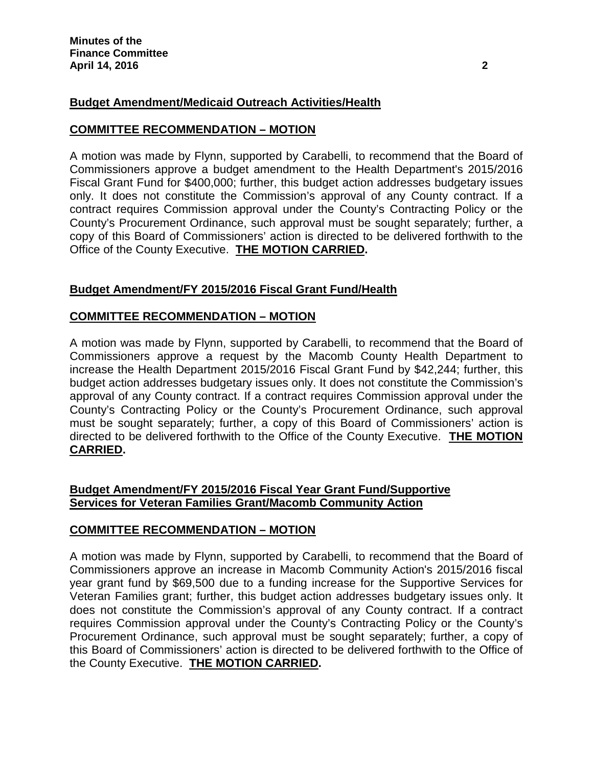# **Budget Amendment/Medicaid Outreach Activities/Health**

## **COMMITTEE RECOMMENDATION – MOTION**

A motion was made by Flynn, supported by Carabelli, to recommend that the Board of Commissioners approve a budget amendment to the Health Department's 2015/2016 Fiscal Grant Fund for \$400,000; further, this budget action addresses budgetary issues only. It does not constitute the Commission's approval of any County contract. If a contract requires Commission approval under the County's Contracting Policy or the County's Procurement Ordinance, such approval must be sought separately; further, a copy of this Board of Commissioners' action is directed to be delivered forthwith to the Office of the County Executive. **THE MOTION CARRIED.**

# **Budget Amendment/FY 2015/2016 Fiscal Grant Fund/Health**

## **COMMITTEE RECOMMENDATION – MOTION**

A motion was made by Flynn, supported by Carabelli, to recommend that the Board of Commissioners approve a request by the Macomb County Health Department to increase the Health Department 2015/2016 Fiscal Grant Fund by \$42,244; further, this budget action addresses budgetary issues only. It does not constitute the Commission's approval of any County contract. If a contract requires Commission approval under the County's Contracting Policy or the County's Procurement Ordinance, such approval must be sought separately; further, a copy of this Board of Commissioners' action is directed to be delivered forthwith to the Office of the County Executive. **THE MOTION CARRIED.**

## **Budget Amendment/FY 2015/2016 Fiscal Year Grant Fund/Supportive Services for Veteran Families Grant/Macomb Community Action**

## **COMMITTEE RECOMMENDATION – MOTION**

A motion was made by Flynn, supported by Carabelli, to recommend that the Board of Commissioners approve an increase in Macomb Community Action's 2015/2016 fiscal year grant fund by \$69,500 due to a funding increase for the Supportive Services for Veteran Families grant; further, this budget action addresses budgetary issues only. It does not constitute the Commission's approval of any County contract. If a contract requires Commission approval under the County's Contracting Policy or the County's Procurement Ordinance, such approval must be sought separately; further, a copy of this Board of Commissioners' action is directed to be delivered forthwith to the Office of the County Executive. **THE MOTION CARRIED.**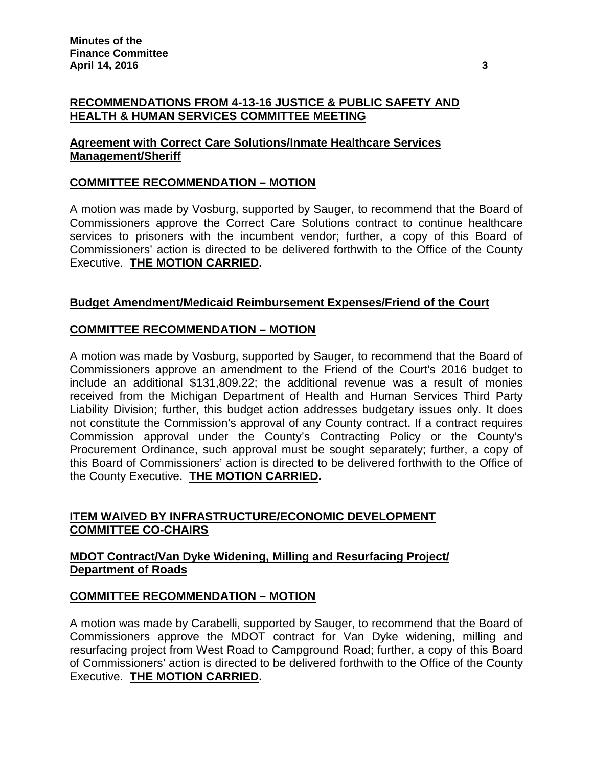## **RECOMMENDATIONS FROM 4-13-16 JUSTICE & PUBLIC SAFETY AND HEALTH & HUMAN SERVICES COMMITTEE MEETING**

## **Agreement with Correct Care Solutions/Inmate Healthcare Services Management/Sheriff**

# **COMMITTEE RECOMMENDATION – MOTION**

A motion was made by Vosburg, supported by Sauger, to recommend that the Board of Commissioners approve the Correct Care Solutions contract to continue healthcare services to prisoners with the incumbent vendor; further, a copy of this Board of Commissioners' action is directed to be delivered forthwith to the Office of the County Executive. **THE MOTION CARRIED.**

## **Budget Amendment/Medicaid Reimbursement Expenses/Friend of the Court**

## **COMMITTEE RECOMMENDATION – MOTION**

A motion was made by Vosburg, supported by Sauger, to recommend that the Board of Commissioners approve an amendment to the Friend of the Court's 2016 budget to include an additional \$131,809.22; the additional revenue was a result of monies received from the Michigan Department of Health and Human Services Third Party Liability Division; further, this budget action addresses budgetary issues only. It does not constitute the Commission's approval of any County contract. If a contract requires Commission approval under the County's Contracting Policy or the County's Procurement Ordinance, such approval must be sought separately; further, a copy of this Board of Commissioners' action is directed to be delivered forthwith to the Office of the County Executive. **THE MOTION CARRIED.**

# **ITEM WAIVED BY INFRASTRUCTURE/ECONOMIC DEVELOPMENT COMMITTEE CO-CHAIRS**

## **MDOT Contract/Van Dyke Widening, Milling and Resurfacing Project/ Department of Roads**

## **COMMITTEE RECOMMENDATION – MOTION**

A motion was made by Carabelli, supported by Sauger, to recommend that the Board of Commissioners approve the MDOT contract for Van Dyke widening, milling and resurfacing project from West Road to Campground Road; further, a copy of this Board of Commissioners' action is directed to be delivered forthwith to the Office of the County Executive. **THE MOTION CARRIED.**